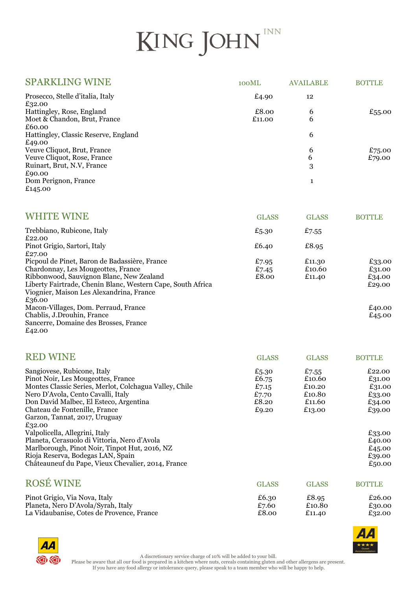## KING JOHN

| <b>SPARKLING WINE</b>                                                                                                                                                                                                                                                                                                     | 100ML                                              | <b>AVAILABLE</b>                                        | <b>BOTTLE</b>                                                      |
|---------------------------------------------------------------------------------------------------------------------------------------------------------------------------------------------------------------------------------------------------------------------------------------------------------------------------|----------------------------------------------------|---------------------------------------------------------|--------------------------------------------------------------------|
| Prosecco, Stelle d'italia, Italy                                                                                                                                                                                                                                                                                          | £4.90                                              | 12                                                      |                                                                    |
| £32.00<br>Hattingley, Rose, England<br>Moet & Chandon, Brut, France<br>£60.00                                                                                                                                                                                                                                             | £8.00<br>£11.00                                    | 6<br>6                                                  | £55.00                                                             |
| Hattingley, Classic Reserve, England                                                                                                                                                                                                                                                                                      |                                                    | 6                                                       |                                                                    |
| £49.00<br>Veuve Cliquot, Brut, France<br>Veuve Cliquot, Rose, France<br>Ruinart, Brut, N.V, France<br>£90.00                                                                                                                                                                                                              |                                                    | 6<br>6<br>3                                             | £75.00<br>£79.00                                                   |
| Dom Perignon, France<br>£145.00                                                                                                                                                                                                                                                                                           |                                                    | $\mathbf{1}$                                            |                                                                    |
| <b>WHITE WINE</b>                                                                                                                                                                                                                                                                                                         | <b>GLASS</b>                                       | <b>GLASS</b>                                            | <b>BOTTLE</b>                                                      |
| Trebbiano, Rubicone, Italy<br>£22.00                                                                                                                                                                                                                                                                                      | £5.30                                              | £7.55                                                   |                                                                    |
| Pinot Grigio, Sartori, Italy<br>£27.00                                                                                                                                                                                                                                                                                    | £6.40                                              | £8.95                                                   |                                                                    |
| Picpoul de Pinet, Baron de Badassière, France<br>Chardonnay, Les Mougeottes, France<br>Ribbonwood, Sauvignon Blanc, New Zealand<br>Liberty Fairtrade, Chenin Blanc, Western Cape, South Africa<br>Viognier, Maison Les Alexandrina, France<br>£36.00                                                                      | £7.95<br>£7.45<br>£8.00                            | £11.30<br>£10.60<br>£11.40                              | £33.00<br>£31.00<br>£34.00<br>£29.00                               |
| Macon-Villages, Dom. Perraud, France<br>Chablis, J.Drouhin, France<br>Sancerre, Domaine des Brosses, France<br>£42.00                                                                                                                                                                                                     |                                                    |                                                         | £40.00<br>£45.00                                                   |
| <b>RED WINE</b>                                                                                                                                                                                                                                                                                                           | <b>GLASS</b>                                       | <b>GLASS</b>                                            | <b>BOTTLE</b>                                                      |
| Sangiovese, Rubicone, Italy<br>Pinot Noir, Les Mougeottes, France<br>Montes Classic Series, Merlot, Colchagua Valley, Chile<br>Nero D'Avola, Cento Cavalli, Italy<br>Don David Malbec, El Esteco, Argentina<br>Chateau de Fontenille, France<br>Garzon, Tannat, 2017, Uruguay<br>£32.00<br>Valpolicella, Allegrini, Italy | £5.30<br>£6.75<br>£7.15<br>£7.70<br>£8.20<br>£9.20 | £7.55<br>£10.60<br>£10.20<br>£10.80<br>£11.60<br>£13.00 | £22.00<br>£31.00<br>£31.00<br>£33.00<br>£34.00<br>£39.00<br>£33.00 |
| Planeta, Cerasuolo di Vittoria, Nero d'Avola<br>Marlborough, Pinot Noir, Tinpot Hut, 2016, NZ<br>Rioja Reserva, Bodegas LAN, Spain<br>Châteauneuf du Pape, Vieux Chevalier, 2014, France                                                                                                                                  |                                                    |                                                         | £40.00<br>£45.00<br>£39.00<br>£50.00                               |
| <b>ROSÉ WINE</b>                                                                                                                                                                                                                                                                                                          | <b>GLASS</b>                                       | <b>GLASS</b>                                            | <b>BOTTLE</b>                                                      |
| Pinot Grigio, Via Nova, Italy<br>Planeta, Nero D'Avola/Syrah, Italy<br>La Vidaubanise, Cotes de Provence, France                                                                                                                                                                                                          | £6.30<br>£7.60<br>£8.00                            | £8.95<br>£10.80<br>£11.40                               | £26.00<br>£30.00<br>£32.00                                         |



 $\circledcirc$ 

A discretionary service charge of 10% will be added to your bill.

Please be aware that all our food is prepared in a kitchen where nuts, cereals containing gluten and other allergens are present. If you have any food allergy or intolerance query, please speak to a team member who will be happy to help.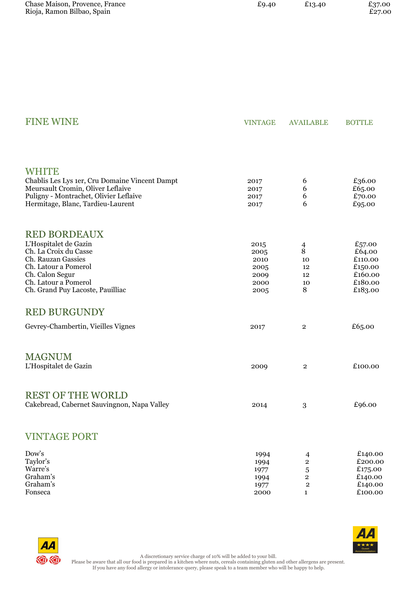| Chase Maison, Provence, France | £9.40 | £13.40 | £37.00 |
|--------------------------------|-------|--------|--------|
| Rioja, Ramon Bilbao, Spain     |       |        | £27.00 |

| <b>FINE WINE</b>                                                            | <b>VINTAGE</b> | <b>AVAILABLE</b>             | <b>BOTTLE</b>      |
|-----------------------------------------------------------------------------|----------------|------------------------------|--------------------|
|                                                                             |                |                              |                    |
| <b>WHITE</b>                                                                |                |                              |                    |
| Chablis Les Lys 1er, Cru Domaine Vincent Dampt                              | 2017           | 6                            | £36.00             |
| Meursault Cromin, Oliver Leflaive                                           | 2017           | 6                            | £65.00             |
| Puligny - Montrachet, Olivier Leflaive<br>Hermitage, Blanc, Tardieu-Laurent | 2017<br>2017   | 6<br>6                       | £70.00<br>£95.00   |
|                                                                             |                |                              |                    |
| <b>RED BORDEAUX</b>                                                         |                |                              |                    |
| L'Hospitalet de Gazin                                                       | 2015           | 4                            | £57.00             |
| Ch. La Croix du Casse                                                       | 2005           | 8                            | £64.00             |
| Ch. Rauzan Gassies<br>Ch. Latour a Pomerol                                  | 2010<br>2005   | 10<br>12                     | £110.00<br>£150.00 |
| Ch. Calon Segur                                                             | 2009           | 12                           | £160.00            |
| Ch. Latour a Pomerol                                                        | 2000           | 10                           | £180.00            |
| Ch. Grand Puy Lacoste, Pauilliac                                            | 2005           | 8                            | £183.00            |
| <b>RED BURGUNDY</b>                                                         |                |                              |                    |
| Gevrey-Chambertin, Vieilles Vignes                                          | 2017           | $\overline{\mathbf{2}}$      | £65.00             |
| <b>MAGNUM</b>                                                               |                |                              |                    |
| L'Hospitalet de Gazin                                                       | 2009           | $\overline{2}$               | £100.00            |
|                                                                             |                |                              |                    |
| <b>REST OF THE WORLD</b>                                                    |                |                              |                    |
| Cakebread, Cabernet Sauvingnon, Napa Valley                                 | 2014           | 3                            | £96.00             |
|                                                                             |                |                              |                    |
| <b>VINTAGE PORT</b>                                                         |                |                              |                    |
| Dow's                                                                       | 1994           | $\overline{4}$               | £140.00            |
| Taylor's                                                                    | 1994           | $\mathbf 2$                  | £200.00            |
| Warre's<br>Graham's                                                         | 1977<br>1994   | 5<br>$\overline{\mathbf{2}}$ | £175.00<br>£140.00 |
| Graham's                                                                    | 1977           | $\overline{\mathbf{c}}$      | £140.00            |
| Fonseca                                                                     | 2000           | $\mathbf{1}$                 | £100.00            |



AA **@@** 

A discretionary service charge of 10% will be added to your bill. Please be aware that all our food is prepared in a kitchen where nuts, cereals containing gluten and other allergens are present. If you have any food allergy or intolerance query, please speak to a team member who will be happy to help.